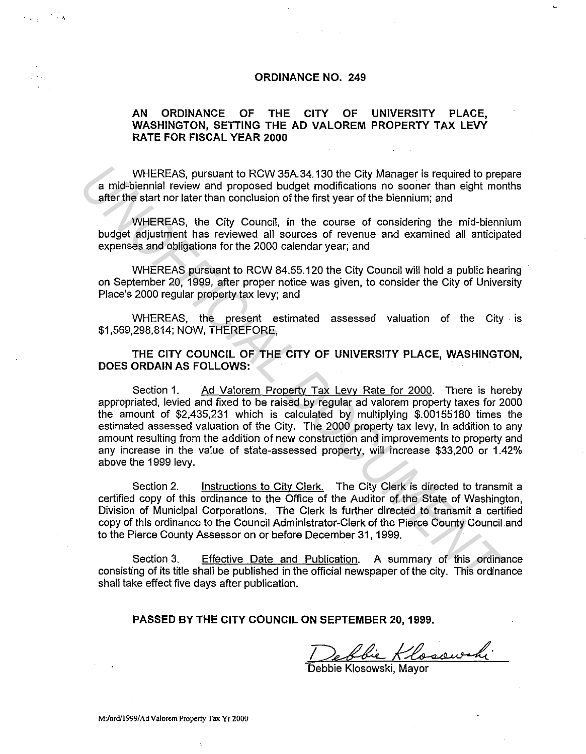## **ORDINANCE NO. 249**

## **AN ORDINANCE OF THE CITY OF UNIVERSITY PLACE, WASHINGTON, SETTING THE AD VALOREM PROPERTY TAX LEVY RATE FOR FISCAL YEAR 2000**

WHEREAS, pursuant to RCW 35A.34.130 the City Manager is required to prepare a mid-biennial review and proposed budget modifications no sooner than eight months after the start nor later than conclusion of the first year of the biennium; and

WHEREAS, the City Council, in the course of considering the mid-biennium budget adjustment has reviewed all sources of revenue and examined all anticipated expenses and obligations for the 2000 calendar year; and

WHEREAS pursuant to RCW 84.55.120 the City Council will hold a public hearing on September 20, 1999, after proper notice was given, to consider the City of University Place's 2000 regular property tax levy; and

WHEREAS, the present estimated assessed valuation of the City · is \$1,569,298,814; NOW, THEREFORE,

**THE CITY COUNCIL OF THE CITY OF UNIVERSITY PLACE, WASHINGTON, DOES ORDAIN AS FOLLOWS:** 

Section 1. Ad Valorem Property Tax Levy Rate for 2000. There is hereby appropriated, levied and fixed to be raised by regular ad valorem property taxes for 2000 the amount of \$2,435,231 which is calculated by multiplying \$.00155180 times the estimated assessed valuation of the City. The 2000 property tax levy, in addition to any amount resulting from the addition of new construction and improvements to property and any increase in the value of state-assessed property, will increase \$33,200 or 1.42% above the 1999 levy. WHEREAS, pursuant to RCW 35A-34.130 the City Manager is required to preached the and the beaminal review and proposed budget modifications no sooner than eight more stresses and obligations for the first year of the benniu

Section 2. Instructions to City Clerk. The City Clerk is directed to transmit a certified copy of this ordinance to the Office of the Auditor of the State of Washington, Division of Municipal Corporations. The Clerk is further directed to transmit a certified copy of this ordinance to the Council Administrator-Clerk of the Pierce County Council and to the Pierce County Assessor on or before December 31, 1999.

Section 3. Effective Date and Publication. A summary of this ordinance consisting of its title shall be published in the official newspaper of the city. This ordinance shall take effect five days after publication.

**PASSED BY THE CITY COUNCIL ON SEPTEMBER 20, 1999.** 

Debbie Klosowski

КÒ,